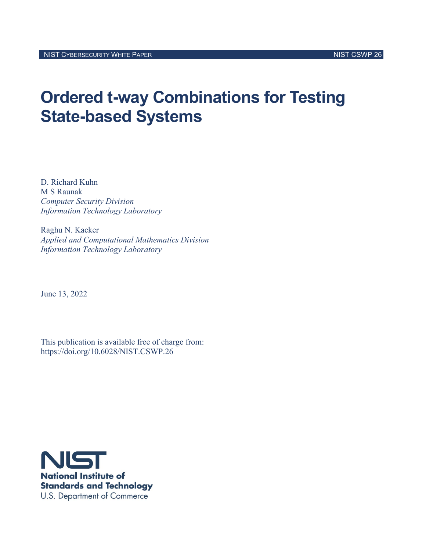# **Ordered t-way Combinations for Testing State-based Systems**

D. Richard Kuhn M S Raunak *Computer Security Division Information Technology Laboratory*

Raghu N. Kacker *Applied and Computational Mathematics Division Information Technology Laboratory*

June 13, 2022

This publication is available free of charge from: https://doi.org/10.6028/NIST.CSWP.26

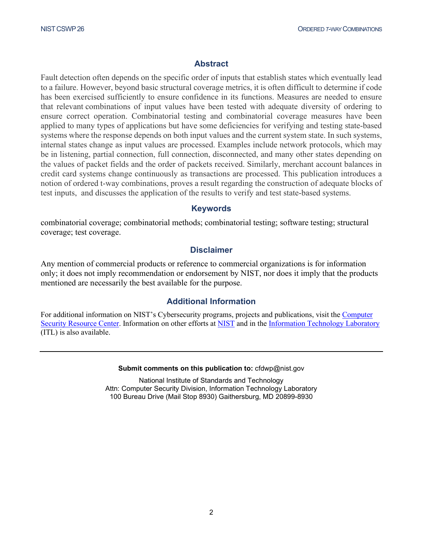## **Abstract**

Fault detection often depends on the specific order of inputs that establish states which eventually lead to a failure. However, beyond basic structural coverage metrics, it is often difficult to determine if code has been exercised sufficiently to ensure confidence in its functions. Measures are needed to ensure that relevant combinations of input values have been tested with adequate diversity of ordering to ensure correct operation. Combinatorial testing and combinatorial coverage measures have been applied to many types of applications but have some deficiencies for verifying and testing state-based systems where the response depends on both input values and the current system state. In such systems, internal states change as input values are processed. Examples include network protocols, which may be in listening, partial connection, full connection, disconnected, and many other states depending on the values of packet fields and the order of packets received. Similarly, merchant account balances in credit card systems change continuously as transactions are processed. This publication introduces a notion of ordered t-way combinations, proves a result regarding the construction of adequate blocks of test inputs, and discusses the application of the results to verify and test state-based systems.

### **Keywords**

combinatorial coverage; combinatorial methods; combinatorial testing; software testing; structural coverage; test coverage.

## **Disclaimer**

Any mention of commercial products or reference to commercial organizations is for information only; it does not imply recommendation or endorsement by NIST, nor does it imply that the products mentioned are necessarily the best available for the purpose.

## **Additional Information**

For additional information on NIST's Cybersecurity programs, projects and publications, visit th[e Computer](https://csrc.nist.gov/)  [Security Resource Center.](https://csrc.nist.gov/) Information on other efforts at [NIST](https://www.nist.gov/) and in the [Information Technology Laboratory](https://www.nist.gov/itl) (ITL) is also available.

#### **Submit comments on this publication to:** cfdwp@nist.gov

National Institute of Standards and Technology Attn: Computer Security Division, Information Technology Laboratory 100 Bureau Drive (Mail Stop 8930) Gaithersburg, MD 20899-8930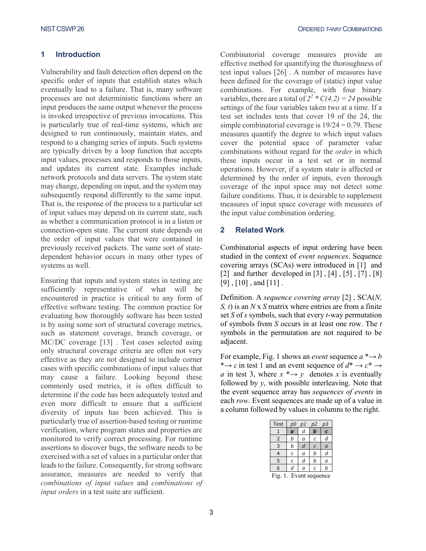#### **1 Introduction**

Vulnerability and fault detection often depend on the specific order of inputs that establish states which eventually lead to a failure. That is, many software processes are not deterministic functions where an input produces the same output whenever the process is invoked irrespective of previous invocations. This is particularly true of real-time systems, which are designed to run continuously, maintain states, and respond to a changing series of inputs. Such systems are typically driven by a loop function that accepts input values, processes and responds to those inputs, and updates its current state. Examples include network protocols and data servers. The system state may change, depending on input, and the system may subsequently respond differently to the same input. That is, the response of the process to a particular set of input values may depend on its current state, such as whether a communication protocol is in a listen or connection-open state. The current state depends on the order of input values that were contained in previously received packets. The same sort of statedependent behavior occurs in many other types of systems as well.

Ensuring that inputs and system states in testing are sufficiently representative of what will be encountered in practice is critical to any form of effective software testing. The common practice for evaluating how thoroughly software has been tested is by using some sort of structural coverage metrics, such as statement coverage, branch coverage, or MC/DC coverage [\[13\] .](#page-8-0) Test cases selected using only structural coverage criteria are often not very effective as they are not designed to include corner cases with specific combinations of input values that may cause a failure. Looking beyond these commonly used metrics, it is often difficult to determine if the code has been adequately tested and even more difficult to ensure that a sufficient diversity of inputs has been achieved. This is particularly true of assertion-based testing or runtime verification, where program states and properties are monitored to verify correct processing. For runtime assertions to discover bugs, the software needs to be exercised with a set of values in a particular order that leads to the failure. Consequently, for strong software assurance, measures are needed to verify that *combinations of input values* and *combinations of input orders* in a test suite are sufficient.

Combinatorial coverage measures provide an effective method for quantifying the thoroughness of test input values [\[26\] .](#page-9-0) A number of measures have been defined for the coverage of (static) input value combinations. For example, with four binary variables, there are a total of  $2^2 * C(4,2) = 24$  possible settings of the four variables taken two at a time. If a test set includes tests that cover 19 of the 24, the simple combinatorial coverage is  $19/24 = 0.79$ . These measures quantify the degree to which input values cover the potential space of parameter value combinations without regard for the *order* in which these inputs occur in a test set or in normal operations. However, if a system state is affected or determined by the order of inputs, even thorough coverage of the input space may not detect some failure conditions. Thus, it is desirable to supplement measures of input space coverage with measures of the input value combination ordering.

#### **2 Related Work**

Combinatorial aspects of input ordering have been studied in the context of *event sequences*. Sequence covering arrays (SCAs) were introduced in [\[1\]](#page-8-1) and [\[2\]](#page-8-2) and further developed in [3], [4], [5], [7], [8]  $[9]$ ,  $[10]$ , and  $[11]$ .

Definition. A *sequence covering array* [\[2\] ,](#page-8-2) SCA(*N, S, t*) is an *N* x *S* matrix where entries are from a finite set *S* of *s* symbols, such that every *t*-way permutation of symbols from *S* occurs in at least one row. The *t* symbols in the permutation are not required to be adjacent.

For example, Fig. 1 shows an *event* sequence  $a^* \rightarrow b$ \* $\rightarrow$  *c* in test 1 and an event sequence of  $d^* \rightarrow c^* \rightarrow$ *a* in test 3, where  $x \rightarrow y$  denotes *x* is eventually followed by *y*, with possible interleaving. Note that the event sequence array has *sequences of events* in each *row*. Event sequences are made up of a value in a column followed by values in columns to the right.

| Test           | p0 | p1 | p <sub>2</sub> | p3       |
|----------------|----|----|----------------|----------|
|                | c  | d  |                | ¢        |
| $\overline{2}$ | b  | a  | C              | d        |
| $\overline{3}$ | b  | d  | C              | $\alpha$ |
| 4              | C  | a  | b              | d        |
| 5              | C  | d  | b              | a        |
| 6              | d  | a  | C              | b        |
| r.             | ┍  |    |                |          |

Fig. 1. Event sequence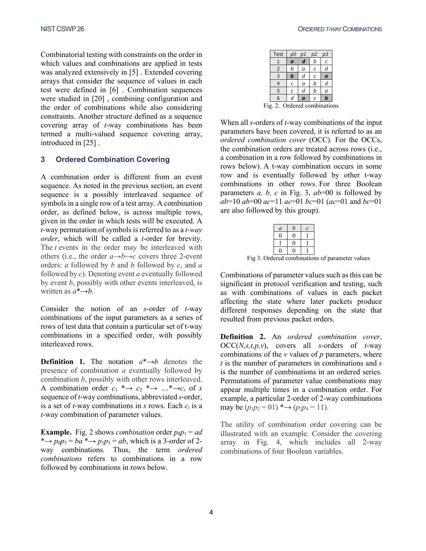Combinatorial testing with constraints on the order in which values and combinations are applied in tests was analyzed extensively in [\[5\] .](#page-8-5) Extended covering arrays that consider the sequence of values in each test were defined in [\[6\] .](#page-8-11) Combination sequences were studied in [\[20\] ,](#page-9-1) combining configuration and the order of combinations while also considering constraints. Another structure defined as a sequence covering array of *t*-way combinations has been termed a multi-valued sequence covering array, introduced in [\[25\] .](#page-9-2)

#### **3 Ordered Combination Covering**

A combination order is different from an event sequence. As noted in the previous section, an event sequence is a possibly interleaved sequence of symbols in a single row of a test array. A combination order, as defined below, is across multiple rows, given in the order in which tests will be executed. A *t*-way permutation of symbols is referred to as a *t-way order*, which will be called a *t*-order for brevity. The *t* events in the order may be interleaved with others (i.e., the order  $a \rightarrow b \rightarrow c$  covers three 2-event orders: *a* followed by *b* and *b* followed by *c*, and *a*  followed by *c*). Denoting event *a* eventually followed by event *b*, possibly with other events interleaved, is written as  $a^*{\rightarrow}b$ .

Consider the notion of an *s*-order of *t*-way combinations of the input parameters as a series of rows of test data that contain a particular set of t-way combinations in a specified order, with possibly interleaved rows.

**Definition 1.** The notation  $a^* \rightarrow b$  denotes the presence of combination *a* eventually followed by combination *b*, possibly with other rows interleaved. A combination order  $c_1 \rightarrow c_2 \rightarrow \cdots \rightarrow c_s$  of *s* sequence of *t*-way combinations, abbreviated *s*-order, is a set of *t*-way combinations in *s* rows. Each *ci* is a *t*-way combination of parameter values.

**Example.** Fig. 2 shows *combination* order  $p_0p_1 = ad$ \* $\rightarrow$  *p*<sub>0</sub> $p_3 = ba$  \* $\rightarrow$  *p*<sub>1</sub> $p_3 = ab$ , which is a 3-order of 2way combinations*.* Thus, the term *ordered combinations* refers to combinations in a row followed by combinations in rows below.

| Test                         | p0 | p1 | p2 | p3 |
|------------------------------|----|----|----|----|
|                              | ō. | n  | b  | Ċ  |
| $\overline{2}$               | b  | a  | C  | d  |
| 3                            | b  | d  | C  | ä  |
|                              | C  | a  | b  | d  |
| 5                            | C  | d  | b  | a  |
| $6\phantom{1}6$              | d  | Ø. | Ċ  | h  |
| Fig. 2. Ordered combinations |    |    |    |    |

When all *s*-orders of *t*-way combinations of the input parameters have been covered, it is referred to as an *ordered combination cover* (OCC)*.* For the OCCs, the combination orders are treated across rows (i.e., a combination in a row followed by combinations in rows below). A t-way combination occurs in some row and is eventually followed by other t-way combinations in other rows. For three Boolean parameters *a, b, c* in Fig. 3, *ab*=00 is followed by *ab*=10 *ab*=00 *ac*=11 *ac*=01 *bc*=01 (*ac*=01 and *bc*=01 are also followed by this group).

|               | $\alpha$ | $\bullet$ |  |
|---------------|----------|-----------|--|
|               |          |           |  |
|               |          |           |  |
|               |          |           |  |
| ◠<br>$\cdots$ |          |           |  |

Fig 3. Ordered combinations of parameter values

Combinations of parameter values such as this can be significant in protocol verification and testing, such as with combinations of values in each packet affecting the state where later packets produce different responses depending on the state that resulted from previous packet orders.

**Definition 2.** An *ordered combination cover*, OCC(*N,s,t,p,v*), covers all *s*-orders of *t*-way combinations of the *v* values of *p* parameters, where *t* is the number of parameters in combinations and *s* is the number of combinations in an ordered series. Permutations of parameter value combinations may appear multiple times in a combination order. For example, a particular 2-order of 2-way combinations may be  $(p_1p_2 = 01)$  \* $\rightarrow$   $(p_2p_4 = 11)$ .

The utility of combination order covering can be illustrated with an example. Consider the covering array in Fig. 4, which includes all 2-way combinations of four Boolean variables.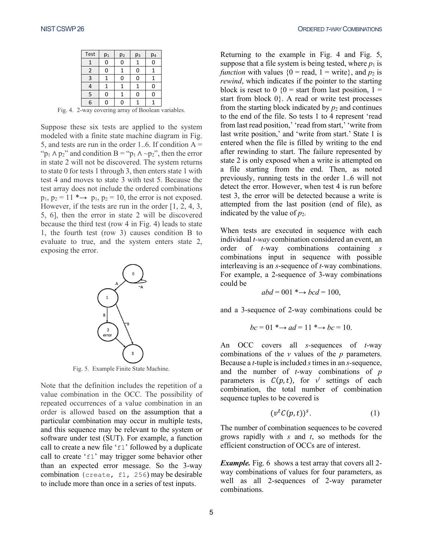| Test | $p_1$ | p <sub>2</sub> | p <sub>3</sub> | p <sub>4</sub> |
|------|-------|----------------|----------------|----------------|
|      |       |                |                |                |
| 2    |       |                | በ              |                |
| 3    |       |                | በ              |                |
| 4    |       |                |                |                |
| 5    |       |                | n              |                |
| 6    |       |                |                |                |

Fig. 4. 2-way covering array of Boolean variables.

Suppose these six tests are applied to the system modeled with a finite state machine diagram in Fig. 5, and tests are run in the order 1..6. If condition  $A =$ " $p_1 \wedge p_2$ " and condition B = " $p_1 \wedge \neg p_2$ ", then the error in state 2 will not be discovered. The system returns to state 0 for tests 1 through 3, then enters state 1 with test 4 and moves to state 3 with test 5. Because the test array does not include the ordered combinations  $p_1$ ,  $p_2 = 11$  \* $\rightarrow$   $p_1$ ,  $p_2 = 10$ , the error is not exposed. However, if the tests are run in the order [1, 2, 4, 3, 5, 6], then the error in state 2 will be discovered because the third test (row 4 in Fig. 4) leads to state 1, the fourth test (row 3) causes condition B to evaluate to true, and the system enters state 2, exposing the error.



Fig. 5. Example Finite State Machine.

Note that the definition includes the repetition of a value combination in the OCC. The possibility of repeated occurrences of a value combination in an order is allowed based on the assumption that a particular combination may occur in multiple tests, and this sequence may be relevant to the system or software under test (SUT). For example, a function call to create a new file 'f1' followed by a duplicate call to create 'f1' may trigger some behavior other than an expected error message. So the 3-way combination (create, f1, 256) may be desirable to include more than once in a series of test inputs.

Returning to the example in Fig. 4 and Fig. 5, suppose that a file system is being tested, where  $p_1$  is *function* with values  ${0 = \text{read}, 1 = \text{write}}$ , and  $p_2$  is *rewind*, which indicates if the pointer to the starting block is reset to 0  $(0 = \text{start from last position}, 1 =$ start from block  $0$ . A read or write test processes from the starting block indicated by  $p_2$  and continues to the end of the file. So tests 1 to 4 represent 'read from last read position,' 'read from start,' 'write from last write position,' and 'write from start.' State 1 is entered when the file is filled by writing to the end after rewinding to start. The failure represented by state 2 is only exposed when a write is attempted on a file starting from the end. Then, as noted previously, running tests in the order 1..6 will not detect the error. However, when test 4 is run before test 3, the error will be detected because a write is attempted from the last position (end of file), as indicated by the value of  $p_2$ .

When tests are executed in sequence with each individual *t-way* combination considered an event, an order of *t-*way combinations containing *s* combinations input in sequence with possible interleaving is an *s*-sequence of *t-*way combinations. For example, a 2-sequence of 3-way combinations could be

$$
abd = 001 \rightarrow bcd = 100,
$$

and a 3-sequence of 2-way combinations could be

$$
bc = 01 \xrightarrow{\ast} ad = 11 \xrightarrow{\ast} bc = 10.
$$

An OCC covers all *s-*sequences of *t*-way combinations of the *v* values of the *p* parameters. Because a *t*-tuple is included *s*times in an *s-*sequence, and the number of *t*-way combinations of *p* parameters is  $C(p,t)$ , for  $v^t$  settings of each combination, the total number of combination sequence tuples to be covered is

$$
(vtC(p,t))s.
$$
 (1)

The number of combination sequences to be covered grows rapidly with *s* and *t*, so methods for the efficient construction of OCCs are of interest.

*Example.* Fig. 6 shows a test array that covers all 2way combinations of values for four parameters, as well as all 2-sequences of 2-way parameter combinations.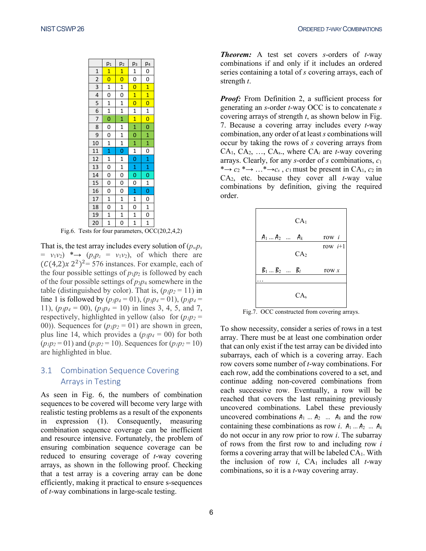|                 | p <sub>1</sub>          | p <sub>2</sub>          | pз                      | p <sub>4</sub>          |
|-----------------|-------------------------|-------------------------|-------------------------|-------------------------|
| $\mathbf{1}$    | $\overline{1}$          | 1                       | $\overline{1}$          | 0                       |
| $\overline{2}$  | $\overline{\mathbf{0}}$ | $\overline{\mathbf{0}}$ | $\overline{0}$          | $\overline{0}$          |
| 3               | $\mathbf{1}$            | $\overline{1}$          | $\overline{\mathbf{0}}$ | 1                       |
| $\frac{1}{4}$   | $\overline{0}$          | $\overline{0}$          | $\overline{\mathbf{1}}$ | $\overline{1}$          |
| 5               | $\mathbf{1}$            | $\mathbf{1}$            | $\overline{0}$          | $\overline{\mathbf{0}}$ |
| $\frac{1}{6}$   | $\mathbf{1}$            | $\mathbf{1}$            | $\mathbf{1}$            | $\overline{1}$          |
| $\overline{7}$  | $\overline{0}$          | $\mathbf{1}$            | $\overline{\mathbf{1}}$ | $\overline{0}$          |
| 8               | 0                       | 1                       | $\mathbf{1}$            | $\mathbf{O}$            |
| 9               | $\mathbf 0$             | $\mathbf{1}$            | $\overline{0}$          | $\mathbf{1}$            |
| 10              | $\overline{1}$          | $\overline{1}$          | $\mathbf{1}$            | $\overline{\mathbf{1}}$ |
| 11              | $\overline{1}$          | $\overline{0}$          | $\overline{1}$          | $\overline{0}$          |
| 12              | $\mathbf{1}$            | $\mathbf{1}$            | $\mathbf 0$             | $\mathbf{1}$            |
| 13              | $\overline{0}$          | $\overline{1}$          | $\mathbf{1}$            | $\mathbf{1}$            |
| 14              | 0                       | $\overline{0}$          | $\overline{0}$          | $\overline{0}$          |
| $\overline{15}$ | $\overline{0}$          | $\overline{0}$          | $\overline{0}$          | $\frac{1}{r}$           |
| 16              | 0                       | $\mathbf{0}$            | $\mathbf{1}$            | $\overline{0}$          |
| 17              | $\overline{1}$          | $\mathbf 1$             | $\mathbf{1}$            | 0                       |
| 18              | $\overline{0}$          | $\overline{1}$          | $\overline{0}$          | $\overline{1}$          |
| 19              | $\mathbf{1}$            | $\mathbf{1}$            | $\mathbf{1}$            | $\overline{0}$          |
| 20              | $\overline{1}$          | $\overline{0}$          | $\overline{1}$          | $\overline{1}$          |

Fig.6. Tests for four parameters, OCC(20,2,4,2)

That is, the test array includes every solution of  $(p_w p_x)$  $= v_1v_2$   $* \rightarrow (p_v p_z = v_1v_2)$ , of which there are  $(C(4,2)x 2^2)^2$ = 576 instances. For example, each of the four possible settings of  $p_1p_2$  is followed by each of the four possible settings of *p*3*p*<sup>4</sup> somewhere in the table (distinguished by color). That is,  $(p_1p_2 = 11)$  in line 1 is followed by  $(p_3p_4 = 01)$ ,  $(p_3p_4 = 01)$ ,  $(p_3p_4 = 01)$ 11),  $(p_3p_4 = 00)$ ,  $(p_3p_4 = 10)$  in lines 3, 4, 5, and 7, respectively, highlighted in yellow (also for  $(p_1p_2 =$ 00)). Sequences for  $(p_1p_2 = 01)$  are shown in green, plus line 14, which provides a  $(p_3p_4 = 00)$  for both  $(p_1p_2 = 01)$  and  $(p_1p_2 = 10)$ . Sequences for  $(p_1p_2 = 10)$ are highlighted in blue.

## 3.1 Combination Sequence Covering Arrays in Testing

As seen in Fig. 6, the numbers of combination sequences to be covered will become very large with realistic testing problems as a result of the exponents in expression (1). Consequently, measuring combination sequence coverage can be inefficient and resource intensive. Fortunately, the problem of ensuring combination sequence coverage can be reduced to ensuring coverage of *t*-way covering arrays, as shown in the following proof. Checking that a test array is a covering array can be done efficiently, making it practical to ensure s-sequences of *t*-way combinations in large-scale testing.

*Theorem:* A test set covers *s*-orders of *t*-way combinations if and only if it includes an ordered series containing a total of *s* covering arrays, each of strength *t*.

*Proof:* From Definition 2, a sufficient process for generating an *s*-order *t*-way OCC is to concatenate *s*  covering arrays of strength *t*, as shown below in Fig. 7. Because a covering array includes every *t*-way combination, any order of at least *s* combinations will occur by taking the rows of *s* covering arrays from CA1, CA2, …, CAs., where CA*<sup>i</sup>* are *t*-way covering arrays. Clearly, for any *s*-order of *s* combinations, *c*<sup>1</sup> \* $\rightarrow$  *c*<sub>2</sub> \* $\rightarrow$  ...\* $\rightarrow$ *c<sub>s</sub>*, *c*<sub>1</sub> must be present in CA<sub>1</sub>, *c*<sub>2</sub> in  $CA<sub>2</sub>$ , etc. because they cover all *t*-way value combinations by definition, giving the required order.



Fig.7. OCC constructed from covering arrays.

To show necessity, consider a series of rows in a test array. There must be at least one combination order that can only exist if the test array can be divided into subarrays, each of which is a covering array. Each row covers some number of *t*-way combinations. For each row, add the combinations covered to a set, and continue adding non-covered combinations from each successive row. Eventually, a row will be reached that covers the last remaining previously uncovered combinations. Label these previously uncovered combinations  $A_1$  ...  $A_2$  ...  $A_k$  and the row containing these combinations as row *i*.  $A_1 \dots A_2 \dots A_k$ do not occur in any row prior to row *i*. The subarray of rows from the first row to and including row *i* forms a covering array that will be labeled  $CA<sub>1</sub>$ . With the inclusion of row  $i$ ,  $CA<sub>1</sub>$  includes all  $t$ -way combinations, so it is a *t*-way covering array.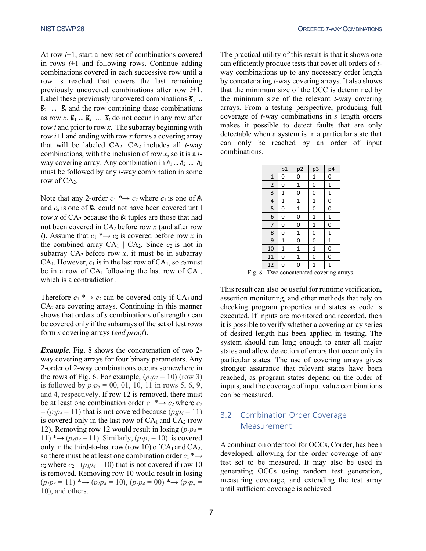At row *i*+1, start a new set of combinations covered in rows *i*+1 and following rows. Continue adding combinations covered in each successive row until a row is reached that covers the last remaining previously uncovered combinations after row *i*+1. Label these previously uncovered combinations  $\mathcal{B}_1$  ...  $\mathcal{B}_2$  ...  $\mathcal{B}_l$  and the row containing these combinations as row  $x$ .  $B_1$  ...  $B_2$  ...  $B_l$  do not occur in any row after row *i* and prior to row *x*. The subarray beginning with row *i*+1 and ending with row *x* forms a covering array that will be labeled  $CA_2$ .  $CA_2$  includes all *t*-way combinations, with the inclusion of row *x*, so it is a *t*way covering array. Any combination in  $A_1$  ...  $A_2$  ...  $A_k$ must be followed by any *t-*way combination in some row of CA<sub>2</sub>.

Note that any 2-order  $c_1 \rightarrow c_2$  where  $c_1$  is one of  $A_i$ and  $c_2$  is one of  $\mathcal{E}$ : could not have been covered until row *x* of  $CA_2$  because the  $\beta$  tuples are those that had not been covered in CA2 before row *x* (and after row *i*). Assume that  $c_1 \rightarrow c_2$  is covered before row *x* in the combined array  $CA_1 \parallel CA_2$ . Since  $c_2$  is not in subarray  $CA_2$  before row  $x$ , it must be in subarray CA<sub>1</sub>. However,  $c_1$  is in the last row of CA<sub>1</sub>, so  $c_2$  must be in a row of  $CA<sub>1</sub>$  following the last row of  $CA<sub>1</sub>$ , which is a contradiction.

Therefore  $c_1$  \* $\rightarrow$   $c_2$  can be covered only if CA<sub>1</sub> and  $CA<sub>2</sub>$  are covering arrays. Continuing in this manner shows that orders of *s* combinations of strength *t* can be covered only if the subarrays of the set of test rows form *s* covering arrays (*end proof*).

*Example.* Fig. 8 shows the concatenation of two 2 way covering arrays for four binary parameters. Any 2-order of 2-way combinations occurs somewhere in the rows of Fig. 6. For example,  $(p_1p_2 = 10)$  (row 3) is followed by  $p_1p_3 = 00, 01, 10, 11$  in rows 5, 6, 9, and 4, respectively. If row 12 is removed, there must be at least one combination order  $c_1 \rightarrow c_2$  where  $c_2$  $= (p_3p_4 = 11)$  that is not covered because  $(p_3p_4 = 11)$ is covered only in the last row of  $CA<sub>1</sub>$  and  $CA<sub>2</sub>$  (row 12). Removing row 12 would result in losing  $(p_3p_4 =$  $11)$  \* $\rightarrow$  ( $p_3p_4$  = 11). Similarly, ( $p_1p_4$  = 10) is covered only in the third-to-last row (row 10) of  $CA<sub>1</sub>$  and  $CA<sub>2</sub>$ , so there must be at least one combination order  $c_1$  \*  $\rightarrow$  $c_2$  where  $c_2 = (p_1p_4 = 10)$  that is not covered if row 10 is removed. Removing row 10 would result in losing  $(p_1p_3 = 11)$  \* $\rightarrow$   $(p_1p_4 = 10)$ ,  $(p_3p_4 = 00)$  \* $\rightarrow$   $(p_1p_4 =$ 10), and others.

The practical utility of this result is that it shows one can efficiently produce tests that cover all orders of *t*way combinations up to any necessary order length by concatenating *t*-way covering arrays. It also shows that the minimum size of the OCC is determined by the minimum size of the relevant *t*-way covering arrays. From a testing perspective, producing full coverage of *t*-way combinations in *s* length orders makes it possible to detect faults that are only detectable when a system is in a particular state that can only be reached by an order of input combinations.

|                                            | p1          | p2           | p3          | p4             |
|--------------------------------------------|-------------|--------------|-------------|----------------|
| $\mathbf{1}$                               | 0           | 0            | 1           | 0              |
| $\overline{\mathbf{c}}$                    | 0           | 1            | 0           | $\mathbf{1}$   |
| $\overline{3}$                             | 1           | 0            | 0           | $\mathbf{1}$   |
| $\overline{\mathbf{r}}$                    | $\mathbf 1$ | $\mathbf 1$  | $\mathbf 1$ | $\overline{0}$ |
| 5                                          | 0           | $\mathbf{1}$ | 0           | 0              |
| $\overline{6}$                             | 0           | 0            | $\mathbf 1$ | $\mathbf{1}$   |
| 7                                          | 0           | 0            | 1           | 0              |
| 8                                          | 0           | $\mathbf 1$  | 0           | $\mathbf{1}$   |
| 9                                          | $\mathbf 1$ | 0            | 0           | $\mathbf{1}$   |
| 10                                         | 1           | $\mathbf{1}$ | $\mathbf 1$ | $\mathbf 0$    |
| 11                                         | 0           | $\mathbf{1}$ | 0           | 0              |
| 12                                         | 0           | 0            | 1           | 1              |
| z.<br>$T_{\text{true}}$<br>1. مه.<br>$+ -$ |             |              |             |                |

Fig. 8. Two concatenated covering arrays.

This result can also be useful for runtime verification, assertion monitoring, and other methods that rely on checking program properties and states as code is executed. If inputs are monitored and recorded, then it is possible to verify whether a covering array series of desired length has been applied in testing. The system should run long enough to enter all major states and allow detection of errors that occur only in particular states. The use of covering arrays gives stronger assurance that relevant states have been reached, as program states depend on the order of inputs, and the coverage of input value combinations can be measured.

## 3.2 Combination Order Coverage Measurement

A combination order tool for OCCs, Corder, has been developed, allowing for the order coverage of any test set to be measured. It may also be used in generating OCCs using random test generation, measuring coverage, and extending the test array until sufficient coverage is achieved.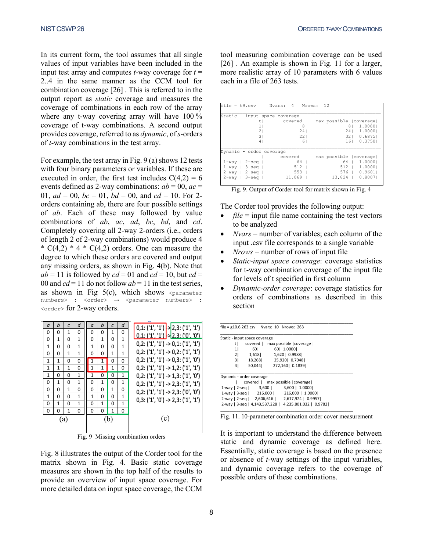In its current form, the tool assumes that all single values of input variables have been included in the input test array and computes  $t$ -way coverage for  $t =$ 2..4 in the same manner as the CCM tool for combination coverage [\[26\] .](#page-9-0) This is referred to in the output report as *static* coverage and measures the coverage of combinations in each row of the array where any t-way covering array will have 100 % coverage of t-way combinations. A second output provides coverage, referred to as *dynamic*, of *s-*orders of *t*-way combinations in the test array.

For example, the test array in Fig. 9 (a) shows 12 tests with four binary parameters or variables. If these are executed in order, the first test includes  $C(4,2) = 6$ events defined as 2-way combinations:  $ab = 00$ ,  $ac =$ 01,  $ad = 00$ ,  $bc = 01$ ,  $bd = 00$ , and  $cd = 10$ . For 2orders containing ab, there are four possible settings of *ab*. Each of these may followed by value combinations of *ab*, *ac*, *ad*, *bc*, *bd*, and *cd*. Completely covering all 2-way 2-orders (i.e., orders of length 2 of 2-way combinations) would produce 4 \*  $C(4,2)$  \* 4 \*  $C(4,2)$  orders. One can measure the degree to which these orders are covered and output any missing orders, as shown in Fig. 4(b). Note that  $ab = 11$  is followed by  $cd = 01$  and  $cd = 10$ , but  $cd =$ 00 and  $cd = 11$  do not follow  $ab = 11$  in the test series, as shown in Fig  $5(c)$ , which shows <parameter numbers> : <order> → <parameter numbers> : <order> for 2-way orders.



Fig. 9 Missing combination orders

Fig. 8 illustrates the output of the Corder tool for the matrix shown in Fig. 4. Basic static coverage measures are shown in the top half of the results to provide an overview of input space coverage. For more detailed data on input space coverage, the CCM

tool measuring combination coverage can be used [26]. An example is shown in Fig. 11 for a larger, more realistic array of 10 parameters with 6 values each in a file of 263 tests.

| $file = t9.csv$               | Nvars: 4<br>Nrows:              | 12                      |
|-------------------------------|---------------------------------|-------------------------|
| Static - input space coverage |                                 |                         |
| t                             | covered                         | max possible (coverage) |
| 11                            | 8 <sub>1</sub>                  | 81<br>1,00001           |
| 21                            | 241                             | 241<br>1.0000           |
| 31                            | 221                             | 0.68751<br>321          |
| 4                             | 61                              | 161<br>0.37501          |
|                               |                                 |                         |
| Dynamic - order coverage      |                                 |                         |
|                               | covered                         | max possible (coverage) |
| $1$ -way  <br>$2 - \sec$      | 64<br>$\mathbf{I}$              | 64<br>1.00001           |
| $3 -$ seq  <br>$1$ -way       | 512<br>$\overline{\phantom{0}}$ | $512$ $\pm$<br>1.00001  |
| $2 - \sec$<br>$2 - way$       | $553$                           | 576   0.9601            |
| $3 -$ seq  <br>$2 - way$      | 11,069<br>- 1                   | $13,824$   0.8007       |
|                               |                                 |                         |

Fig. 9. Output of Corder tool for matrix shown in Fig. 4

The Corder tool provides the following output:

- $file = input file name containing the test vectors$ to be analyzed
- *Nvars* = number of variables; each column of the input .csv file corresponds to a single variable
- $Nrows =$  number of rows of input file
- *Static-input space coverage*: coverage statistics for t-way combination coverage of the input file for levels of t specified in first column
- *Dynamic-order coverage*: coverage statistics for orders of combinations as described in this section

|                               |                          | file = $g10.6.263.csv$ Nvars: 10 Nrows: 263            |  |  |  |
|-------------------------------|--------------------------|--------------------------------------------------------|--|--|--|
| Static - input space coverage |                          |                                                        |  |  |  |
| tl                            |                          | covered   max possible   coverage                      |  |  |  |
| 1                             |                          | 60   1.0000                                            |  |  |  |
| 2                             | 1,618                    | 1,620   0.9988                                         |  |  |  |
|                               |                          | 3   18,268   25,920   0.7048                           |  |  |  |
| 4                             |                          | 50,044 272,160 0.1839                                  |  |  |  |
|                               | Dynamic - order coverage |                                                        |  |  |  |
|                               |                          | covered   max possible   coverage                      |  |  |  |
|                               |                          | 1-way   2-seq   3,600   3,600   1.0000                 |  |  |  |
|                               |                          | 1-way   3-seq   216,000   216,000   1.0000             |  |  |  |
|                               |                          | 2-way   2-seg   2,606,616   2,617,924   0.9957         |  |  |  |
|                               |                          | 2-way   3-seg   4,143,537,228   4,235,801,032   0.9782 |  |  |  |

Fig. 11. 10-parameter combination order cover measurement

It is important to understand the difference between static and dynamic coverage as defined here. Essentially, static coverage is based on the presence or absence of *t*-way settings of the input variables, and dynamic coverage refers to the coverage of possible orders of these combinations.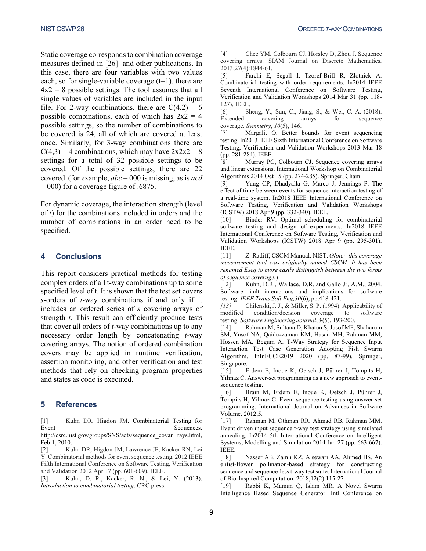Static coverage corresponds to combination coverage measures defined in [\[26\]](#page-9-0) and other publications. In this case, there are four variables with two values each, so for single-variable coverage  $(t=1)$ , there are  $4x2 = 8$  possible settings. The tool assumes that all single values of variables are included in the input file. For 2-way combinations, there are  $C(4,2) = 6$ possible combinations, each of which has  $2x^2 = 4$ possible settings, so the number of combinations to be covered is 24, all of which are covered at least once. Similarly, for 3-way combinations there are  $C(4,3) = 4$  combinations, which may have  $2x2x2 = 8$ settings for a total of 32 possible settings to be covered. Of the possible settings, there are 22 covered (for example, *abc* = 000 is missing, as is *acd*  $= 000$ ) for a coverage figure of .6875.

For dynamic coverage, the interaction strength (level of *t*) for the combinations included in orders and the number of combinations in an order need to be specified.

#### **4 Conclusions**

This report considers practical methods for testing complex orders of all t-way combinations up to some specified level of t. It is shown that the test set covers *s*-orders of *t*-way combinations if and only if it includes an ordered series of *s* covering arrays of strength *t*. This result can efficiently produce tests that cover all orders of *t*-way combinations up to any necessary order length by concatenating *t*-way covering arrays. The notion of ordered combination covers may be applied in runtime verification, assertion monitoring, and other verification and test methods that rely on checking program properties and states as code is executed.

#### **5 References**

<span id="page-8-1"></span>[1] Kuhn DR, Higdon JM. Combinatorial Testing for Event Sequences.

http://csrc.nist.gov/groups/SNS/acts/sequence\_covar rays.html, Feb 1, 2010.

<span id="page-8-2"></span>[2] Kuhn DR, Higdon JM, Lawrence JF, Kacker RN, Lei Y. Combinatorial methods for event sequence testing. 2012 IEEE Fifth International Conference on Software Testing, Verification and Validation 2012 Apr 17 (pp. 601-609). IEEE.

<span id="page-8-3"></span>[3] Kuhn, D. R., Kacker, R. N., & Lei, Y. (2013). *Introduction to combinatorial testing*. CRC press.

<span id="page-8-4"></span>[4] Chee YM, Colbourn CJ, Horsley D, Zhou J. Sequence covering arrays. SIAM Journal on Discrete Mathematics. 2013;27(4):1844-61.

<span id="page-8-5"></span>[5] Farchi E, Segall I, Tzoref-Brill R, Zlotnick A. Combinatorial testing with order requirements. In2014 IEEE Seventh International Conference on Software Testing, Verification and Validation Workshops 2014 Mar 31 (pp. 118- 127). IEEE.

<span id="page-8-11"></span>[6] Sheng, Y., Sun, C., Jiang, S., & Wei, C. A. (2018). Extended covering arrays for sequence coverage. *Symmetry*, *10*(5), 146.

<span id="page-8-6"></span>[7] Margalit O. Better bounds for event sequencing testing. In2013 IEEE Sixth International Conference on Software Testing, Verification and Validation Workshops 2013 Mar 18 (pp. 281-284). IEEE.

<span id="page-8-7"></span>[8] Murray PC, Colbourn CJ. Sequence covering arrays and linear extensions. International Workshop on Combinatorial Algorithms 2014 Oct 15 (pp. 274-285). Springer, Cham.

<span id="page-8-8"></span>[9] Yang CP, Dhadyalla G, Marco J, Jennings P. The effect of time-between-events for sequence interaction testing of a real-time system. In2018 IEEE International Conference on Software Testing, Verification and Validation Workshops (ICSTW) 2018 Apr 9 (pp. 332-340). IEEE.

<span id="page-8-9"></span>[10] Binder RV. Optimal scheduling for combinatorial software testing and design of experiments. In2018 IEEE International Conference on Software Testing, Verification and Validation Workshops (ICSTW) 2018 Apr 9 (pp. 295-301). IEEE.

<span id="page-8-10"></span>[11] Z. Ratliff, CSCM Manual. NIST. (*Note: this coverage measurement tool was originally named CSCM. It has been renamed Eseq to more easily distinguish between the two forms of sequence coverage.*)

[12] Kuhn, D.R., Wallace, D.R. and Gallo Jr, A.M., 2004. Software fault interactions and implications for software

<span id="page-8-0"></span>testing. *IEEE Trans Soft Eng*, 30(6), pp. 418-421.<br>
[13] Chilenski, J. J., & Miller, S. P. (1994). *[13]* Chilenski, J. J., & Miller, S. P. (1994). Applicability of modified condition/decision coverage to software testing. *Software Engineering Journal*, *9*(5), 193-200.

[14] Rahman M, Sultana D, Khatun S, Jusof MF, Shaharum SM, Yusof NA, Qaiduzzaman KM, Hasan MH, Rahman MM, Hossen MA, Begum A. T-Way Strategy for Sequence Input Interaction Test Case Generation Adopting Fish Swarm Algorithm. InInECCE2019 2020 (pp. 87-99). Springer, Singapore.

[15] Erdem E, Inoue K, Oetsch J, Pührer J, Tompits H, Yılmaz C. Answer-set programming as a new approach to eventsequence testing.

[16] Brain M, Erdem E, Inoue K, Oetsch J, Pührer J, Tompits H, Yilmaz C. Event-sequence testing using answer-set programming. International Journal on Advances in Software Volume. 2012;5.

[17] Rahman M, Othman RR, Ahmad RB, Rahman MM. Event driven input sequence t-way test strategy using simulated annealing. In2014 5th International Conference on Intelligent Systems, Modelling and Simulation 2014 Jan 27 (pp. 663-667). IEEE.

[18] Nasser AB, Zamli KZ, Alsewari AA, Ahmed BS. An elitist-flower pollination-based strategy for constructing sequence and sequence-less t-way test suite. International Journal of Bio-Inspired Computation. 2018;12(2):115-27.

[19] Rabbi K, Mamun Q, Islam MR. A Novel Swarm Intelligence Based Sequence Generator. Intl Conference on